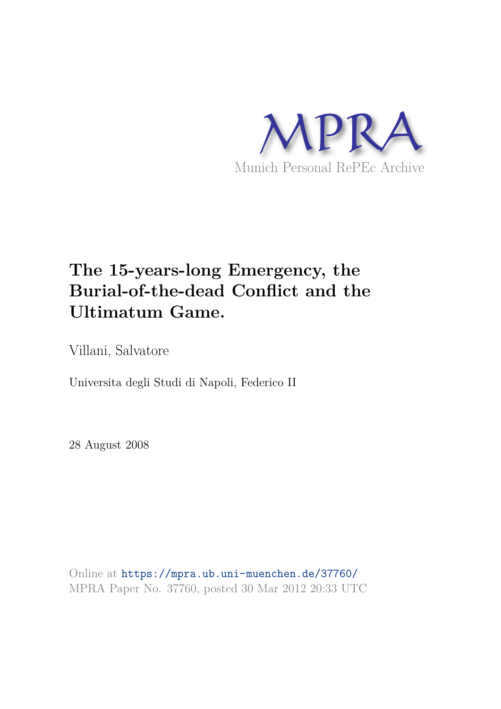

# **The 15-years-long Emergency, the Burial-of-the-dead Conflict and the Ultimatum Game.**

Villani, Salvatore

Universita degli Studi di Napoli, Federico II

28 August 2008

Online at https://mpra.ub.uni-muenchen.de/37760/ MPRA Paper No. 37760, posted 30 Mar 2012 20:33 UTC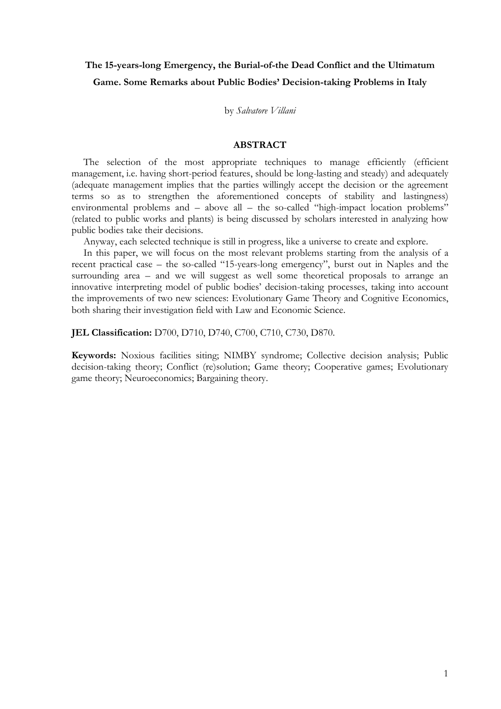# **The 15-years-long Emergency, the Burial-of-the Dead Conflict and the Ultimatum Game. Some Remarks about Public Bodies' Decision-taking Problems in Italy**

by *Salvatore Villani*

# **ABSTRACT**

The selection of the most appropriate techniques to manage efficiently (efficient management, i.e. having short-period features, should be long-lasting and steady) and adequately (adequate management implies that the parties willingly accept the decision or the agreement terms so as to strengthen the aforementioned concepts of stability and lastingness) environmental problems and – above all – the so-called "high-impact location problems" (related to public works and plants) is being discussed by scholars interested in analyzing how public bodies take their decisions.

Anyway, each selected technique is still in progress, like a universe to create and explore.

In this paper, we will focus on the most relevant problems starting from the analysis of a recent practical case – the so-called "15-years-long emergency", burst out in Naples and the surrounding area – and we will suggest as well some theoretical proposals to arrange an innovative interpreting model of public bodies' decision-taking processes, taking into account the improvements of two new sciences: Evolutionary Game Theory and Cognitive Economics, both sharing their investigation field with Law and Economic Science.

**JEL Classification:** D700, D710, D740, C700, C710, C730, D870.

**Keywords:** Noxious facilities siting; NIMBY syndrome; Collective decision analysis; Public decision-taking theory; Conflict (re)solution; Game theory; Cooperative games; Evolutionary game theory; Neuroeconomics; Bargaining theory.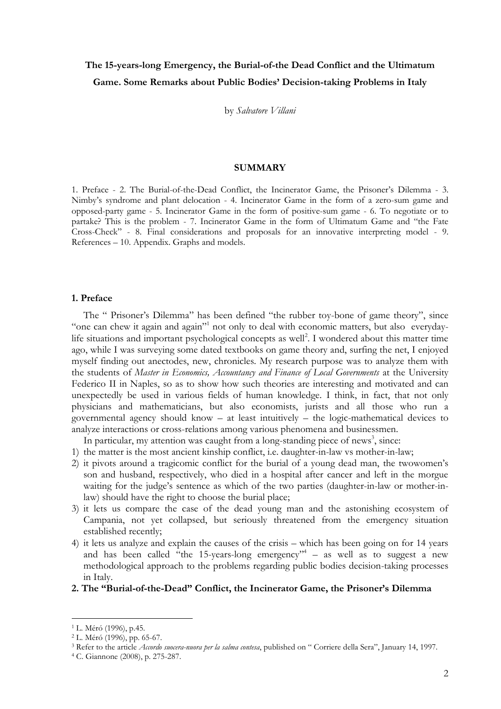# **The 15-years-long Emergency, the Burial-of-the Dead Conflict and the Ultimatum Game. Some Remarks about Public Bodies' Decision-taking Problems in Italy**

by *Salvatore Villani*

# **SUMMARY**

1. Preface - 2. The Burial-of-the-Dead Conflict, the Incinerator Game, the Prisoner's Dilemma - 3. Nimby's syndrome and plant delocation - 4. Incinerator Game in the form of a zero-sum game and opposed-party game - 5. Incinerator Game in the form of positive-sum game - 6. To negotiate or to partake? This is the problem - 7. Incinerator Game in the form of Ultimatum Game and "the Fate Cross-Check" - 8. Final considerations and proposals for an innovative interpreting model - 9. References – 10. Appendix. Graphs and models.

# **1. Preface**

The " Prisoner's Dilemma" has been defined "the rubber toy-bone of game theory", since "one can chew it again and again"<sup>1</sup> not only to deal with economic matters, but also everydaylife situations and important psychological concepts as well<sup>2</sup>. I wondered about this matter time ago, while I was surveying some dated textbooks on game theory and, surfing the net, I enjoyed myself finding out anectodes, new, chronicles. My research purpose was to analyze them with the students of *Master in Economics, Accountancy and Finance of Local Governments* at the University Federico II in Naples, so as to show how such theories are interesting and motivated and can unexpectedly be used in various fields of human knowledge. I think, in fact, that not only physicians and mathematicians, but also economists, jurists and all those who run a governmental agency should know – at least intuitively – the logic-mathematical devices to analyze interactions or cross-relations among various phenomena and businessmen.

In particular, my attention was caught from a long-standing piece of news<sup>3</sup>, since:

- 1) the matter is the most ancient kinship conflict, i.e. daughter-in-law vs mother-in-law;
- 2) it pivots around a tragicomic conflict for the burial of a young dead man, the twowomen's son and husband, respectively, who died in a hospital after cancer and left in the morgue waiting for the judge's sentence as which of the two parties (daughter-in-law or mother-inlaw) should have the right to choose the burial place;
- 3) it lets us compare the case of the dead young man and the astonishing ecosystem of Campania, not yet collapsed, but seriously threatened from the emergency situation established recently;
- 4) it lets us analyze and explain the causes of the crisis which has been going on for 14 years and has been called "the 15-years-long emergency"<sup>4</sup> – as well as to suggest a new methodological approach to the problems regarding public bodies decision-taking processes in Italy.

#### **2. The "Burial-of-the-Dead" Conflict, the Incinerator Game, the Prisoner's Dilemma**

<sup>1</sup> L. Méró (1996), p.45.

<sup>2</sup> L. Méró (1996), pp. 65-67.

<sup>3</sup> Refer to the article *Accordo suocera-nuora per la salma contesa*, published on " Corriere della Sera", January 14, 1997.

<sup>4</sup> C. Giannone (2008), p. 275-287.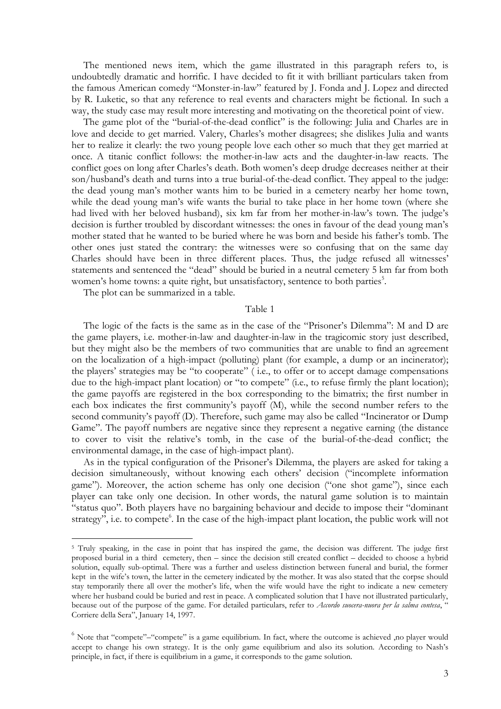The mentioned news item, which the game illustrated in this paragraph refers to, is undoubtedly dramatic and horrific. I have decided to fit it with brilliant particulars taken from the famous American comedy "Monster-in-law" featured by J. Fonda and J. Lopez and directed by R. Luketic, so that any reference to real events and characters might be fictional. In such a way, the study case may result more interesting and motivating on the theoretical point of view.

The game plot of the "burial-of-the-dead conflict" is the following: Julia and Charles are in love and decide to get married. Valery, Charles's mother disagrees; she dislikes Julia and wants her to realize it clearly: the two young people love each other so much that they get married at once. A titanic conflict follows: the mother-in-law acts and the daughter-in-law reacts. The conflict goes on long after Charles's death. Both women's deep drudge decreases neither at their son/husband's death and turns into a true burial-of-the-dead conflict. They appeal to the judge: the dead young man's mother wants him to be buried in a cemetery nearby her home town, while the dead young man's wife wants the burial to take place in her home town (where she had lived with her beloved husband), six km far from her mother-in-law's town. The judge's decision is further troubled by discordant witnesses: the ones in favour of the dead young man's mother stated that he wanted to be buried where he was born and beside his father's tomb. The other ones just stated the contrary: the witnesses were so confusing that on the same day Charles should have been in three different places. Thus, the judge refused all witnesses' statements and sentenced the "dead" should be buried in a neutral cemetery 5 km far from both women's home towns: a quite right, but unsatisfactory, sentence to both parties<sup>5</sup>.

The plot can be summarized in a table.

-

# Table 1

The logic of the facts is the same as in the case of the "Prisoner's Dilemma": M and D are the game players, i.e. mother-in-law and daughter-in-law in the tragicomic story just described, but they might also be the members of two communities that are unable to find an agreement on the localization of a high-impact (polluting) plant (for example, a dump or an incinerator); the players' strategies may be "to cooperate" ( i.e., to offer or to accept damage compensations due to the high-impact plant location) or "to compete" (i.e., to refuse firmly the plant location); the game payoffs are registered in the box corresponding to the bimatrix; the first number in each box indicates the first community's payoff (M), while the second number refers to the second community's payoff (D). Therefore, such game may also be called "Incinerator or Dump Game". The payoff numbers are negative since they represent a negative earning (the distance to cover to visit the relative's tomb, in the case of the burial-of-the-dead conflict; the environmental damage, in the case of high-impact plant).

As in the typical configuration of the Prisoner's Dilemma, the players are asked for taking a decision simultaneously, without knowing each others' decision ("incomplete information game"). Moreover, the action scheme has only one decision ("one shot game"), since each player can take only one decision. In other words, the natural game solution is to maintain "status quo". Both players have no bargaining behaviour and decide to impose their "dominant strategy", i.e. to compete<sup>6</sup>. In the case of the high-impact plant location, the public work will not

<sup>&</sup>lt;sup>5</sup> Truly speaking, in the case in point that has inspired the game, the decision was different. The judge first proposed burial in a third cemetery, then – since the decision still created conflict – decided to choose a hybrid solution, equally sub-optimal. There was a further and useless distinction between funeral and burial, the former kept in the wife's town, the latter in the cemetery indicated by the mother. It was also stated that the corpse should stay temporarily there all over the mother's life, when the wife would have the right to indicate a new cemetery where her husband could be buried and rest in peace. A complicated solution that I have not illustrated particularly, because out of the purpose of the game. For detailed particulars, refer to *Accordo suocera-nuora per la salma contesa*, " Corriere della Sera", January 14, 1997.

 $<sup>6</sup>$  Note that "compete"–"compete" is a game equilibrium. In fact, where the outcome is achieved ,no player would</sup> accept to change his own strategy. It is the only game equilibrium and also its solution. According to Nash's principle, in fact, if there is equilibrium in a game, it corresponds to the game solution.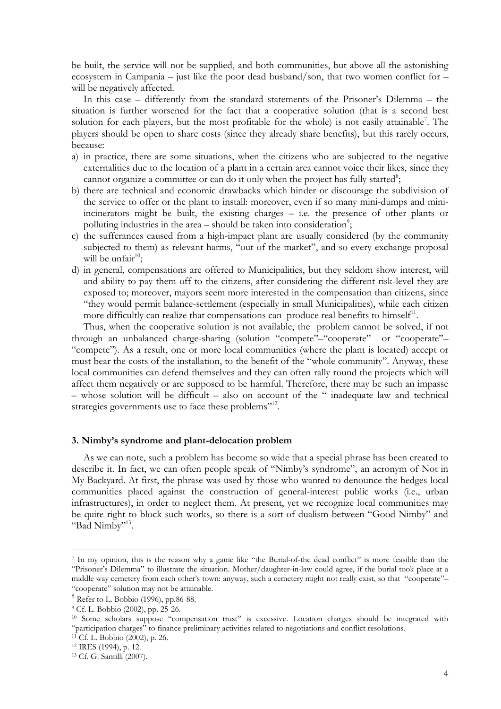be built, the service will not be supplied, and both communities, but above all the astonishing ecosystem in Campania – just like the poor dead husband/son, that two women conflict for  $$ will be negatively affected.

In this case – differently from the standard statements of the Prisoner's Dilemma – the situation is further worsened for the fact that a cooperative solution (that is a second best solution for each players, but the most profitable for the whole) is not easily attainable<sup>7</sup>. The players should be open to share costs (since they already share benefits), but this rarely occurs, because:

- a) in practice, there are some situations, when the citizens who are subjected to the negative externalities due to the location of a plant in a certain area cannot voice their likes, since they cannot organize a committee or can do it only when the project has fully started<sup>8</sup>;
- b) there are technical and economic drawbacks which hinder or discourage the subdivision of the service to offer or the plant to install: moreover, even if so many mini-dumps and miniincinerators might be built, the existing charges – i.e. the presence of other plants or polluting industries in the area  $-$  should be taken into consideration<sup>9</sup>;
- c) the sufferances caused from a high-impact plant are usually considered (by the community subjected to them) as relevant harms, "out of the market", and so every exchange proposal will be unfair<sup>10</sup>;
- d) in general, compensations are offered to Municipalities, but they seldom show interest, will and ability to pay them off to the citizens, after considering the different risk-level they are exposed to; moreover, mayors seem more interested in the compensation than citizens, since "they would permit balance-settlement (especially in small Municipalities), while each citizen more difficultly can realize that compensations can produce real benefits to himself<sup>11</sup>.

Thus, when the cooperative solution is not available, the problem cannot be solved, if not through an unbalanced charge-sharing (solution "compete"-"cooperate" or "cooperate"-"compete"). As a result, one or more local communities (where the plant is located) accept or must bear the costs of the installation, to the benefit of the "whole community". Anyway, these local communities can defend themselves and they can often rally round the projects which will affect them negatively or are supposed to be harmful. Therefore, there may be such an impasse – whose solution will be difficult – also on account of the " inadequate law and technical strategies governments use to face these problems"<sup>12</sup>.

# **3. Nimby's syndrome and plant-delocation problem**

As we can note, such a problem has become so wide that a special phrase has been created to describe it. In fact, we can often people speak of "Nimby's syndrome", an acronym of Not in My Backyard. At first, the phrase was used by those who wanted to denounce the hedges local communities placed against the construction of general-interest public works (i.e., urban infrastructures), in order to neglect them. At present, yet we recognize local communities may be quite right to block such works, so there is a sort of dualism between "Good Nimby" and "Bad Nimby"<sup>13</sup>.

<sup>7</sup> In my opinion, this is the reason why a game like "the Burial-of-the dead conflict" is more feasible than the "Prisoner's Dilemma" to illustrate the situation. Mother/daughter-in-law could agree, if the burial took place at a middle way cemetery from each other's town: anyway, such a cemetery might not really exist, so that "cooperate"– "cooperate" solution may not be attainable.

<sup>8</sup> Refer to L. Bobbio (1996), pp.86-88.

<sup>9</sup> Cf. L. Bobbio (2002), pp. 25-26.

<sup>10</sup> Some scholars suppose "compensation trust" is excessive. Location charges should be integrated with "participation charges" to finance preliminary activities related to negotiations and conflict resolutions.

 $11$  Cf. L. Bobbio (2002), p. 26.

<sup>12</sup> IRES (1994), p. 12.

<sup>13</sup> Cf. G. Santilli (2007).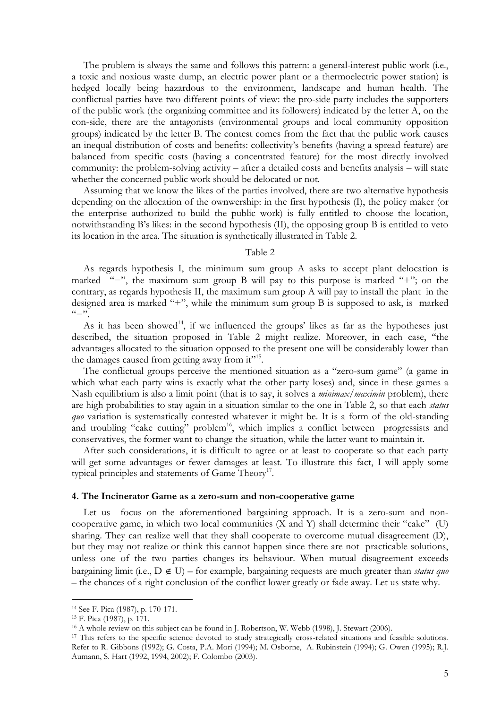The problem is always the same and follows this pattern: a general-interest public work (i.e., a toxic and noxious waste dump, an electric power plant or a thermoelectric power station) is hedged locally being hazardous to the environment, landscape and human health. The conflictual parties have two different points of view: the pro-side party includes the supporters of the public work (the organizing committee and its followers) indicated by the letter A, on the con-side, there are the antagonists (environmental groups and local community opposition groups) indicated by the letter B. The contest comes from the fact that the public work causes an inequal distribution of costs and benefits: collectivity's benefits (having a spread feature) are balanced from specific costs (having a concentrated feature) for the most directly involved community: the problem-solving activity – after a detailed costs and benefits analysis – will state whether the concerned public work should be delocated or not.

Assuming that we know the likes of the parties involved, there are two alternative hypothesis depending on the allocation of the ownwership: in the first hypothesis (I), the policy maker (or the enterprise authorized to build the public work) is fully entitled to choose the location, notwithstanding B's likes: in the second hypothesis (II), the opposing group B is entitled to veto its location in the area. The situation is synthetically illustrated in Table 2.

#### Table 2

As regards hypothesis I, the minimum sum group A asks to accept plant delocation is marked "−", the maximum sum group B will pay to this purpose is marked "+"; on the contrary, as regards hypothesis II, the maximum sum group A will pay to install the plant in the designed area is marked "+", while the minimum sum group B is supposed to ask, is marked  $($   $\cdot$   $\cdot$   $\cdot$   $\cdot$ 

As it has been showed<sup>14</sup>, if we influenced the groups' likes as far as the hypotheses just described, the situation proposed in Table 2 might realize. Moreover, in each case, "the advantages allocated to the situation opposed to the present one will be considerably lower than the damages caused from getting away from it"<sup>15</sup>.

The conflictual groups perceive the mentioned situation as a "zero-sum game" (a game in which what each party wins is exactly what the other party loses) and, since in these games a Nash equilibrium is also a limit point (that is to say, it solves a *minimax/maximin* problem), there are high probabilities to stay again in a situation similar to the one in Table 2, so that each *status quo* variation is systematically contested whatever it might be. It is a form of the old-standing and troubling "cake cutting" problem<sup>16</sup>, which implies a conflict between progressists and conservatives, the former want to change the situation, while the latter want to maintain it.

After such considerations, it is difficult to agree or at least to cooperate so that each party will get some advantages or fewer damages at least. To illustrate this fact, I will apply some typical principles and statements of Game Theory<sup>17</sup>.

#### **4. The Incinerator Game as a zero-sum and non-cooperative game**

Let us focus on the aforementioned bargaining approach. It is a zero-sum and noncooperative game, in which two local communities (X and Y) shall determine their "cake" (U) sharing. They can realize well that they shall cooperate to overcome mutual disagreement (D), but they may not realize or think this cannot happen since there are not practicable solutions, unless one of the two parties changes its behaviour. When mutual disagreement exceeds bargaining limit (i.e.,  $D \notin U$ ) – for example, bargaining requests are much greater than *status quo* – the chances of a right conclusion of the conflict lower greatly or fade away. Let us state why.

<sup>14</sup> See F. Pica (1987), p. 170-171.

<sup>15</sup> F. Pica (1987), p. 171.

<sup>&</sup>lt;sup>16</sup> A whole review on this subject can be found in J. Robertson, W. Webb (1998), J. Stewart (2006).

<sup>&</sup>lt;sup>17</sup> This refers to the specific science devoted to study strategically cross-related situations and feasible solutions. Refer to R. Gibbons (1992); G. Costa, P.A. Mori (1994); M. Osborne, A. Rubinstein (1994); G. Owen (1995); R.J. Aumann, S. Hart (1992, 1994, 2002); F. Colombo (2003).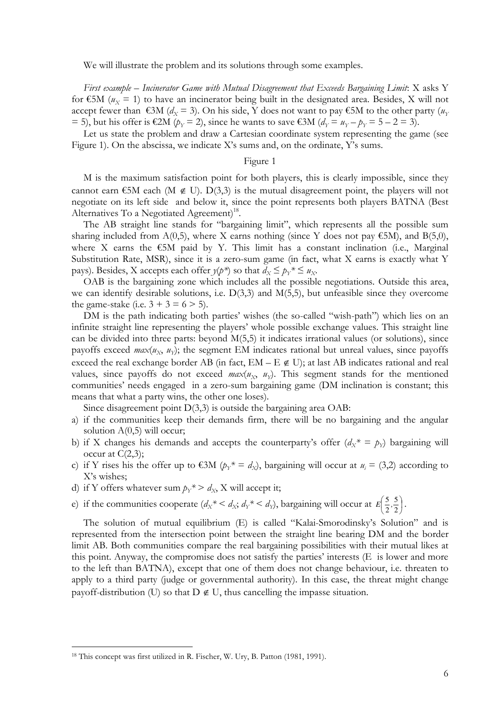We will illustrate the problem and its solutions through some examples.

*First example – Incinerator Game with Mutual Disagreement that Exceeds Bargaining Limit*: X asks Y for  $\epsilon$ 5M ( $u_x$  = 1) to have an incinerator being built in the designated area. Besides, X will not accept fewer than  $\epsilon$ 3M ( $d_x$  = 3). On his side, Y does not want to pay  $\epsilon$ 5M to the other party ( $u_y$ = 5), but his offer is €2M ( $p_Y$  = 2), since he wants to save €3M ( $d_Y = u_Y - p_Y = 5 - 2 = 3$ ).

Let us state the problem and draw a Cartesian coordinate system representing the game (see Figure 1). On the abscissa, we indicate X's sums and, on the ordinate, Y's sums.

# Figure 1

M is the maximum satisfaction point for both players, this is clearly impossible, since they cannot earn  $\epsilon$ 5M each (M  $\notin$  U). D(3,3) is the mutual disagreement point, the players will not negotiate on its left side and below it, since the point represents both players BATNA (Best Alternatives To a Negotiated Agreement)<sup>18</sup>.

The AB straight line stands for "bargaining limit", which represents all the possible sum sharing included from  $A(0,5)$ , where X earns nothing (since Y does not pay  $\epsilon$ 5M), and B(5,0), where X earns the  $\epsilon$ 5M paid by Y. This limit has a constant inclination (i.e., Marginal Substitution Rate, MSR), since it is a zero-sum game (in fact, what X earns is exactly what Y pays). Besides, X accepts each offer  $y(p^*)$  so that  $d_x \leq p_y^* \leq u_x$ .

OAB is the bargaining zone which includes all the possible negotiations. Outside this area, we can identify desirable solutions, i.e. D(3,3) and M(5,5), but unfeasible since they overcome the game-stake (i.e.  $3 + 3 = 6 > 5$ ).

DM is the path indicating both parties' wishes (the so-called "wish-path") which lies on an infinite straight line representing the players' whole possible exchange values. This straight line can be divided into three parts: beyond M(5,5) it indicates irrational values (or solutions), since payoffs exceed *max*( $u_X$ ,  $u_Y$ ); the segment EM indicates rational but unreal values, since payoffs exceed the real exchange border AB (in fact,  $EM - E \notin U$ ); at last AB indicates rational and real values, since payoffs do not exceed  $max(u_x, u_y)$ . This segment stands for the mentioned communities' needs engaged in a zero-sum bargaining game (DM inclination is constant; this means that what a party wins, the other one loses).

Since disagreement point  $D(3,3)$  is outside the bargaining area OAB:

- a) if the communities keep their demands firm, there will be no bargaining and the angular solution  $A(0,5)$  will occur;
- b) if X changes his demands and accepts the counterparty's offer  $(d_X^* = p_Y)$  bargaining will occur at  $C(2,3)$ ;
- c) if Y rises his the offer up to  $\epsilon$ 3M ( $p_Y^* = d_X$ ), bargaining will occur at  $u_i = (3,2)$  according to X's wishes;
- d) if Y offers whatever sum  $p_Y^* > d_X$ , X will accept it;
- e) if the communities cooperate  $(d_X * \langle d_X; d_Y * \langle d_Y \rangle)$ , bargaining will occur at  $E\left(\frac{3}{2}, \frac{3}{2}\right)$  $\left(\frac{5}{2},\frac{5}{2}\right)$ ſ 2 5 2  $E\left(\frac{5}{2},\frac{5}{2}\right)$ .

The solution of mutual equilibrium (E) is called "Kalai-Smorodinsky's Solution" and is represented from the intersection point between the straight line bearing DM and the border limit AB. Both communities compare the real bargaining possibilities with their mutual likes at this point. Anyway, the compromise does not satisfy the parties' interests  $(E$  is lower and more to the left than BATNA), except that one of them does not change behaviour, i.e. threaten to apply to a third party (judge or governmental authority). In this case, the threat might change payoff-distribution (U) so that  $D \notin U$ , thus cancelling the impasse situation.

<sup>18</sup> This concept was first utilized in R. Fischer, W. Ury, B. Patton (1981, 1991).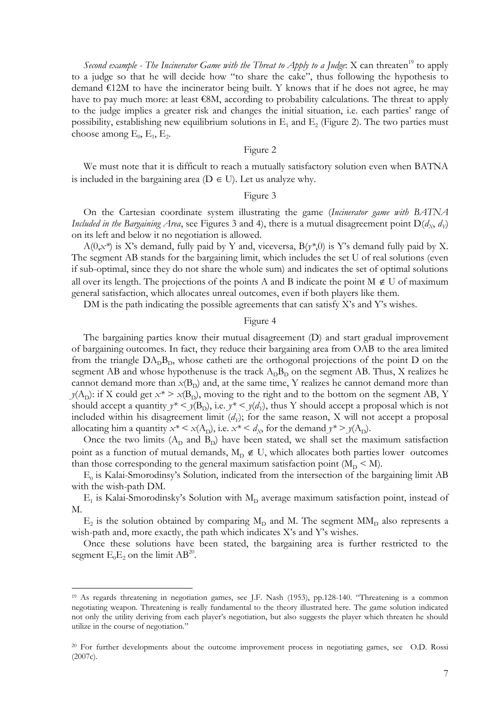Second example - The Incinerator Game with the Threat to Apply to a Judge: X can threaten<sup>19</sup> to apply to a judge so that he will decide how "to share the cake", thus following the hypothesis to demand  $\epsilon$ 12M to have the incinerator being built. Y knows that if he does not agree, he may have to pay much more: at least €8M, according to probability calculations. The threat to apply to the judge implies a greater risk and changes the initial situation, i.e. each parties' range of possibility, establishing new equilibrium solutions in  $E_1$  and  $E_2$  (Figure 2). The two parties must choose among  $E_0$ ,  $E_1$ ,  $E_2$ .

#### Figure 2

We must note that it is difficult to reach a mutually satisfactory solution even when BATNA is included in the bargaining area ( $D \in U$ ). Let us analyze why.

#### Figure 3

On the Cartesian coordinate system illustrating the game (*Incinerator game with BATNA Included in the Bargaining Area*, see Figures 3 and 4), there is a mutual disagreement point  $D(d_x, d_y)$ on its left and below it no negotiation is allowed.

 $A(0, x^*)$  is X's demand, fully paid by Y and, viceversa,  $B(y^*, 0)$  is Y's demand fully paid by X. The segment AB stands for the bargaining limit, which includes the set U of real solutions (even if sub-optimal, since they do not share the whole sum) and indicates the set of optimal solutions all over its length. The projections of the points A and B indicate the point  $M \notin U$  of maximum general satisfaction, which allocates unreal outcomes, even if both players like them.

DM is the path indicating the possible agreements that can satisfy X's and Y's wishes.

#### Figure 4

The bargaining parties know their mutual disagreement (D) and start gradual improvement of bargaining outcomes. In fact, they reduce their bargaining area from OAB to the area limited from the triangle  $DA$ <sub>D</sub> $B$ <sub>D</sub>, whose catheti are the orthogonal projections of the point D on the segment AB and whose hypothenuse is the track  $A<sub>D</sub>B<sub>D</sub>$  on the segment AB. Thus, X realizes he cannot demand more than  $x(B_D)$  and, at the same time, Y realizes he cannot demand more than  $y(A_D)$ : if X could get  $x^* > x(B_D)$ , moving to the right and to the bottom on the segment AB, Y should accept a quantity  $y^* < y(B_D)$ , i.e.  $y^* < y(d_Y)$ , thus Y should accept a proposal which is not included within his disagreement limit (*d<sup>Y</sup>* ); for the same reason, X will not accept a proposal allocating him a quantity  $x^* \le x(A_D)$ , i.e.  $x^* \le d_x$ , for the demand  $y^* \ge y(A_D)$ .

Once the two limits  $(A_D \text{ and } B_D)$  have been stated, we shall set the maximum satisfaction point as a function of mutual demands,  $M_D \notin U$ , which allocates both parties lower outcomes than those corresponding to the general maximum satisfaction point  $(M_D < M)$ .

 $E_0$  is Kalai-Smorodinsy's Solution, indicated from the intersection of the bargaining limit AB with the wish-path DM.

 $E_1$  is Kalai-Smorodinsky's Solution with  $M_D$  average maximum satisfaction point, instead of M.

 $E_2$  is the solution obtained by comparing  $M_D$  and M. The segment  $MM_D$  also represents a wish-path and, more exactly, the path which indicates X's and Y's wishes.

Once these solutions have been stated, the bargaining area is further restricted to the segment  $E_0E_2$  on the limit  $AB^{20}$ .

<sup>19</sup> As regards threatening in negotiation games, see J.F. Nash (1953), pp.128-140. "Threatening is a common negotiating weapon. Threatening is really fundamental to the theory illustrated here. The game solution indicated not only the utility deriving from each player's negotiation, but also suggests the player which threaten he should utilize in the course of negotiation."

<sup>&</sup>lt;sup>20</sup> For further developments about the outcome improvement process in negotiating games, see O.D. Rossi (2007c).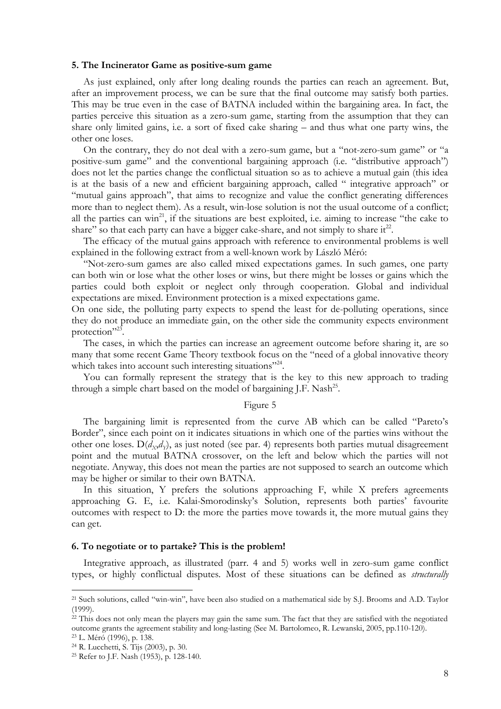#### **5. The Incinerator Game as positive-sum game**

As just explained, only after long dealing rounds the parties can reach an agreement. But, after an improvement process, we can be sure that the final outcome may satisfy both parties. This may be true even in the case of BATNA included within the bargaining area. In fact, the parties perceive this situation as a zero-sum game, starting from the assumption that they can share only limited gains, i.e. a sort of fixed cake sharing – and thus what one party wins, the other one loses.

On the contrary, they do not deal with a zero-sum game, but a "not-zero-sum game" or "a positive-sum game" and the conventional bargaining approach (i.e. "distributive approach") does not let the parties change the conflictual situation so as to achieve a mutual gain (this idea is at the basis of a new and efficient bargaining approach, called " integrative approach" or "mutual gains approach", that aims to recognize and value the conflict generating differences more than to neglect them). As a result, win-lose solution is not the usual outcome of a conflict; all the parties can win<sup>21</sup>, if the situations are best exploited, i.e. aiming to increase "the cake to share" so that each party can have a bigger cake-share, and not simply to share it $^{22}$ .

The efficacy of the mutual gains approach with reference to environmental problems is well explained in the following extract from a well-known work by László Méró:

"Not-zero-sum games are also called mixed expectations games. In such games, one party can both win or lose what the other loses or wins, but there might be losses or gains which the parties could both exploit or neglect only through cooperation. Global and individual expectations are mixed. Environment protection is a mixed expectations game.

On one side, the polluting party expects to spend the least for de-polluting operations, since they do not produce an immediate gain, on the other side the community expects environment protection"<sup>23</sup>.

The cases, in which the parties can increase an agreement outcome before sharing it, are so many that some recent Game Theory textbook focus on the "need of a global innovative theory which takes into account such interesting situations"<sup>24</sup>.

You can formally represent the strategy that is the key to this new approach to trading through a simple chart based on the model of bargaining J.F. Nash<sup>25</sup>.

#### Figure 5

The bargaining limit is represented from the curve AB which can be called "Pareto's Border", since each point on it indicates situations in which one of the parties wins without the other one loses. D(*dX*,*d<sup>Y</sup>* ), as just noted (see par. 4) represents both parties mutual disagreement point and the mutual BATNA crossover, on the left and below which the parties will not negotiate. Anyway, this does not mean the parties are not supposed to search an outcome which may be higher or similar to their own BATNA.

In this situation, Y prefers the solutions approaching F, while X prefers agreements approaching G. E, i.e. Kalai-Smorodinsky's Solution, represents both parties' favourite outcomes with respect to D: the more the parties move towards it, the more mutual gains they can get.

#### **6. To negotiate or to partake? This is the problem!**

Integrative approach, as illustrated (parr. 4 and 5) works well in zero-sum game conflict types, or highly conflictual disputes. Most of these situations can be defined as *structurally*

<sup>21</sup> Such solutions, called "win-win", have been also studied on a mathematical side by S.J. Brooms and A.D. Taylor (1999).

<sup>&</sup>lt;sup>22</sup> This does not only mean the players may gain the same sum. The fact that they are satisfied with the negotiated outcome grants the agreement stability and long-lasting (See M. Bartolomeo, R. Lewanski, 2005, pp.110-120).

<sup>23</sup> L. Méró (1996), p. 138.

<sup>24</sup> R. Lucchetti, S. Tijs (2003), p. 30.

<sup>25</sup> Refer to J.F. Nash (1953), p. 128-140.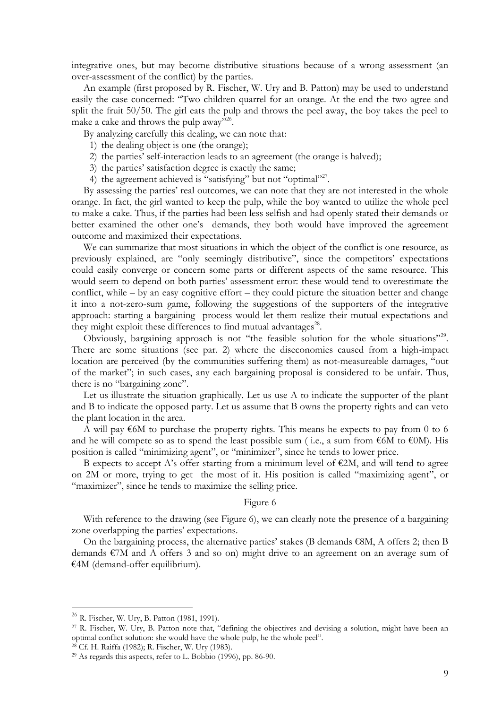integrative ones, but may become distributive situations because of a wrong assessment (an over-assessment of the conflict) by the parties.

An example (first proposed by R. Fischer, W. Ury and B. Patton) may be used to understand easily the case concerned: "Two children quarrel for an orange. At the end the two agree and split the fruit 50/50. The girl eats the pulp and throws the peel away, the boy takes the peel to make a cake and throws the pulp away"<sup>26</sup>.

By analyzing carefully this dealing, we can note that:

- 1) the dealing object is one (the orange);
- 2) the parties' self-interaction leads to an agreement (the orange is halved);
- 3) the parties' satisfaction degree is exactly the same;
- 4) the agreement achieved is "satisfying" but not "optimal"<sup>27</sup>.

By assessing the parties' real outcomes, we can note that they are not interested in the whole orange. In fact, the girl wanted to keep the pulp, while the boy wanted to utilize the whole peel to make a cake. Thus, if the parties had been less selfish and had openly stated their demands or better examined the other one's demands, they both would have improved the agreement outcome and maximized their expectations.

We can summarize that most situations in which the object of the conflict is one resource, as previously explained, are "only seemingly distributive", since the competitors' expectations could easily converge or concern some parts or different aspects of the same resource. This would seem to depend on both parties' assessment error: these would tend to overestimate the conflict, while – by an easy cognitive effort – they could picture the situation better and change it into a not-zero-sum game, following the suggestions of the supporters of the integrative approach: starting a bargaining process would let them realize their mutual expectations and they might exploit these differences to find mutual advantages<sup>28</sup>.

Obviously, bargaining approach is not "the feasible solution for the whole situations"<sup>29</sup>. There are some situations (see par. 2) where the diseconomies caused from a high-impact location are perceived (by the communities suffering them) as not-measureable damages, "out of the market"; in such cases, any each bargaining proposal is considered to be unfair. Thus, there is no "bargaining zone".

Let us illustrate the situation graphically. Let us use A to indicate the supporter of the plant and B to indicate the opposed party. Let us assume that B owns the property rights and can veto the plant location in the area.

A will pay  $\epsilon$ 6M to purchase the property rights. This means he expects to pay from 0 to 6 and he will compete so as to spend the least possible sum (i.e., a sum from  $\epsilon$ 6M to  $\epsilon$ 0M). His position is called "minimizing agent", or "minimizer", since he tends to lower price.

B expects to accept A's offer starting from a minimum level of  $E2M$ , and will tend to agree on 2M or more, trying to get the most of it. His position is called "maximizing agent", or "maximizer", since he tends to maximize the selling price.

# Figure 6

With reference to the drawing (see Figure 6), we can clearly note the presence of a bargaining zone overlapping the parties' expectations.

On the bargaining process, the alternative parties' stakes (B demands  $\epsilon$ 8M, A offers 2; then B demands  $\epsilon$ 7M and A offers 3 and so on) might drive to an agreement on an average sum of €4M (demand-offer equilibrium).

<sup>26</sup> R. Fischer, W. Ury, B. Patton (1981, 1991).

<sup>27</sup> R. Fischer, W. Ury, B. Patton note that, "defining the objectives and devising a solution, might have been an optimal conflict solution: she would have the whole pulp, he the whole peel".

<sup>28</sup> Cf. H. Raiffa (1982); R. Fischer, W. Ury (1983).

 $29$  As regards this aspects, refer to L. Bobbio (1996), pp. 86-90.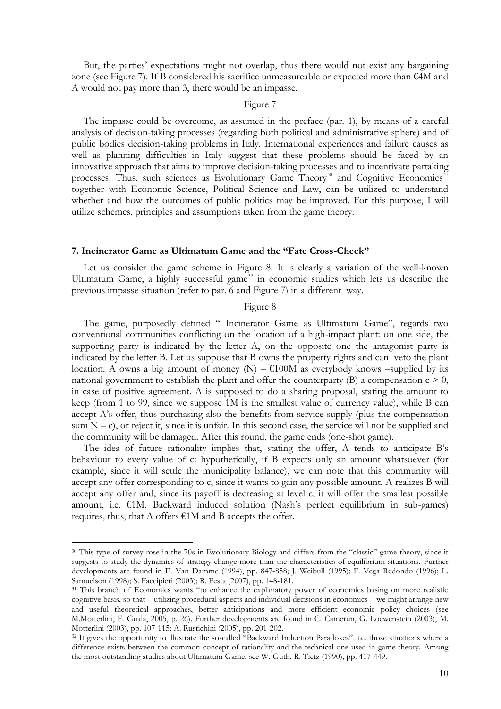But, the parties' expectations might not overlap, thus there would not exist any bargaining zone (see Figure 7). If B considered his sacrifice unmeasureable or expected more than €4M and A would not pay more than 3, there would be an impasse.

#### Figure 7

The impasse could be overcome, as assumed in the preface (par. 1), by means of a careful analysis of decision-taking processes (regarding both political and administrative sphere) and of public bodies decision-taking problems in Italy. International experiences and failure causes as well as planning difficulties in Italy suggest that these problems should be faced by an innovative approach that aims to improve decision-taking processes and to incentivate partaking processes. Thus, such sciences as Evolutionary Game Theory<sup>30</sup> and Cognitive Economics<sup>31</sup> together with Economic Science, Political Science and Law, can be utilized to understand whether and how the outcomes of public politics may be improved. For this purpose, I will utilize schemes, principles and assumptions taken from the game theory.

#### **7. Incinerator Game as Ultimatum Game and the "Fate Cross-Check"**

Let us consider the game scheme in Figure 8. It is clearly a variation of the well-known Ultimatum Game, a highly successful game<sup>32</sup> in economic studies which lets us describe the previous impasse situation (refer to par. 6 and Figure 7) in a different way.

#### Figure 8

The game, purposedly defined " Incinerator Game as Ultimatum Game", regards two conventional communities conflicting on the location of a high-impact plant: on one side, the supporting party is indicated by the letter A, on the opposite one the antagonist party is indicated by the letter B. Let us suppose that B owns the property rights and can veto the plant location. A owns a big amount of money (N) –  $\epsilon$ 100M as everybody knows –supplied by its national government to establish the plant and offer the counterparty (B) a compensation  $c > 0$ , in case of positive agreement. A is supposed to do a sharing proposal, stating the amount to keep (from 1 to 99, since we suppose 1M is the smallest value of currency value), while B can accept A's offer, thus purchasing also the benefits from service supply (plus the compensation sum  $N - c$ ), or reject it, since it is unfair. In this second case, the service will not be supplied and the community will be damaged. After this round, the game ends (one-shot game).

The idea of future rationality implies that, stating the offer, A tends to anticipate B's behaviour to every value of c: hypothetically, if B expects only an amount whatsoever (for example, since it will settle the municipality balance), we can note that this community will accept any offer corresponding to c, since it wants to gain any possible amount. A realizes B will accept any offer and, since its payoff is decreasing at level c, it will offer the smallest possible amount, i.e.  $\epsilon$ 1M. Backward induced solution (Nash's perfect equilibrium in sub-games) requires, thus, that A offers €1M and B accepts the offer.

<sup>30</sup> This type of survey rose in the 70s in Evolutionary Biology and differs from the "classic" game theory, since it suggests to study the dynamics of strategy change more than the characteristics of equilibrium situations. Further developments are found in E. Van Damme (1994), pp. 847-858; J. Weibull (1995); F. Vega Redondo (1996); L. Samuelson (1998); S. Faccipieri (2003); R. Festa (2007), pp. 148-181.

<sup>&</sup>lt;sup>31</sup> This branch of Economics wants "to enhance the explanatory power of economics basing on more realistic cognitive basis, so that – utilizing procedural aspects and individual decisions in economics – we might arrange new and useful theoretical approaches, better anticipations and more efficient economic policy choices (see M.Motterlini, F. Guala, 2005, p. 26). Further developments are found in C. Camerun, G. Loewenstein (2003), M. Motterlini (2003), pp. 107-115; A. Rustichini (2005), pp. 201-202.

<sup>&</sup>lt;sup>32</sup> It gives the opportunity to illustrate the so-called "Backward Induction Paradoxes", i.e. those situations where a difference exists between the common concept of rationality and the technical one used in game theory. Among the most outstanding studies about Ultimatum Game, see W. Guth, R. Tietz (1990), pp. 417-449.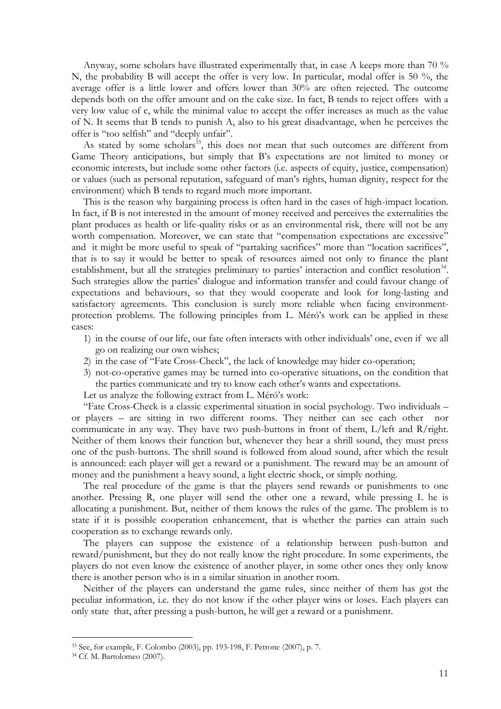Anyway, some scholars have illustrated experimentally that, in case A keeps more than 70 % N, the probability B will accept the offer is very low. In particular, modal offer is 50 %, the average offer is a little lower and offers lower than 30% are often rejected. The outcome depends both on the offer amount and on the cake size. In fact, B tends to reject offers with a very low value of c, while the minimal value to accept the offer increases as much as the value of N. It seems that B tends to punish A, also to his great disadvantage, when he perceives the offer is "too selfish" and "deeply unfair".

As stated by some scholars<sup>33</sup>, this does not mean that such outcomes are different from Game Theory anticipations, but simply that B's expectations are not limited to money or economic interests, but include some other factors (i.e. aspects of equity, justice, compensation) or values (such as personal reputation, safeguard of man's rights, human dignity, respect for the environment) which B tends to regard much more important.

This is the reason why bargaining process is often hard in the cases of high-impact location. In fact, if B is not interested in the amount of money received and perceives the externalities the plant produces as health or life-quality risks or as an environmental risk, there will not be any worth compensation. Moreover, we can state that "compensation expectations are excessive" and it might be more useful to speak of "partaking sacrifices" more than "location sacrifices", that is to say it would be better to speak of resources aimed not only to finance the plant establishment, but all the strategies preliminary to parties' interaction and conflict resolution<sup>34</sup>. Such strategies allow the parties' dialogue and information transfer and could favour change of expectations and behaviours, so that they would cooperate and look for long-lasting and satisfactory agreements. This conclusion is surely more reliable when facing environmentprotection problems. The following principles from L. Méró's work can be applied in these cases:

- 1) in the course of our life, our fate often interacts with other individuals' one, even if we all go on realizing our own wishes;
- 2) in the case of "Fate Cross-Check", the lack of knowledge may hider co-operation;
- 3) not-co-operative games may be turned into co-operative situations, on the condition that the parties communicate and try to know each other's wants and expectations.

Let us analyze the following extract from L. Méró's work:

"Fate Cross-Check is a classic experimental situation in social psychology. Two individuals – or players – are sitting in two different rooms. They neither can see each other communicate in any way. They have two push-buttons in front of them, L/left and R/right. Neither of them knows their function but, whenever they hear a shrill sound, they must press one of the push-buttons. The shrill sound is followed from aloud sound, after which the result is announced: each player will get a reward or a punishment. The reward may be an amount of money and the punishment a heavy sound, a light electric shock, or simply nothing.

The real procedure of the game is that the players send rewards or punishments to one another. Pressing R, one player will send the other one a reward, while pressing L he is allocating a punishment. But, neither of them knows the rules of the game. The problem is to state if it is possible cooperation enhancement, that is whether the parties can attain such cooperation as to exchange rewards only.

The players can suppose the existence of a relationship between push-button and reward/punishment, but they do not really know the right procedure. In some experiments, the players do not even know the existence of another player, in some other ones they only know there is another person who is in a similar situation in another room.

Neither of the players can understand the game rules, since neither of them has got the peculiar information, i.e. they do not know if the other player wins or loses. Each players can only state that, after pressing a push-button, he will get a reward or a punishment.

<sup>33</sup> See, for example, F. Colombo (2003), pp. 193-198, F. Petrone (2007), p. 7.

<sup>34</sup> Cf. M. Bartolomeo (2007).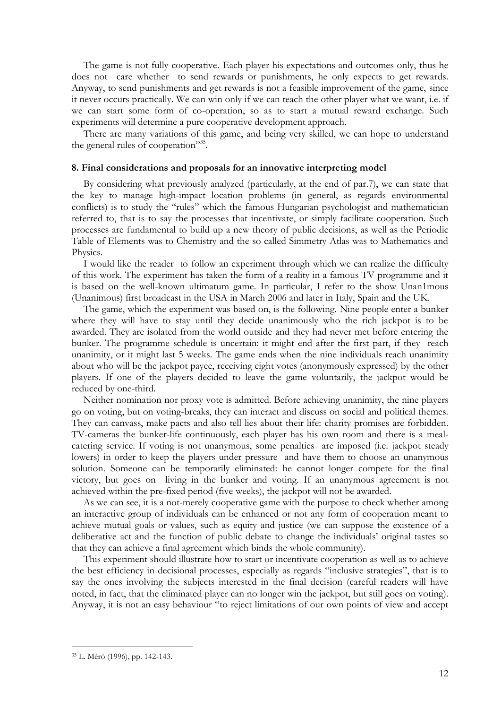The game is not fully cooperative. Each player his expectations and outcomes only, thus he does not care whether to send rewards or punishments, he only expects to get rewards. Anyway, to send punishments and get rewards is not a feasible improvement of the game, since it never occurs practically. We can win only if we can teach the other player what we want, i.e. if we can start some form of co-operation, so as to start a mutual reward exchange. Such experiments will determine a pure cooperative development approach.

There are many variations of this game, and being very skilled, we can hope to understand the general rules of cooperation"<sup>35</sup>.

# **8. Final considerations and proposals for an innovative interpreting model**

By considering what previously analyzed (particularly, at the end of par.7), we can state that the key to manage high-impact location problems (in general, as regards environmental conflicts) is to study the "rules" which the famous Hungarian psychologist and mathematician referred to, that is to say the processes that incentivate, or simply facilitate cooperation. Such processes are fundamental to build up a new theory of public decisions, as well as the Periodic Table of Elements was to Chemistry and the so called Simmetry Atlas was to Mathematics and Physics.

I would like the reader to follow an experiment through which we can realize the difficulty of this work. The experiment has taken the form of a reality in a famous TV programme and it is based on the well-known ultimatum game. In particular, I refer to the show Unan1mous (Unanimous) first broadcast in the USA in March 2006 and later in Italy, Spain and the UK.

The game, which the experiment was based on, is the following. Nine people enter a bunker where they will have to stay until they decide unanimously who the rich jackpot is to be awarded. They are isolated from the world outside and they had never met before entering the bunker. The programme schedule is uncertain: it might end after the first part, if they reach unanimity, or it might last 5 weeks. The game ends when the nine individuals reach unanimity about who will be the jackpot payee, receiving eight votes (anonymously expressed) by the other players. If one of the players decided to leave the game voluntarily, the jackpot would be reduced by one-third.

Neither nomination nor proxy vote is admitted. Before achieving unanimity, the nine players go on voting, but on voting-breaks, they can interact and discuss on social and political themes. They can canvass, make pacts and also tell lies about their life: charity promises are forbidden. TV-cameras the bunker-life continuously, each player has his own room and there is a mealcatering service. If voting is not unanymous, some penalties are imposed (i.e. jackpot steady lowers) in order to keep the players under pressure and have them to choose an unanymous solution. Someone can be temporarily eliminated: he cannot longer compete for the final victory, but goes on living in the bunker and voting. If an unanymous agreement is not achieved within the pre-fixed period (five weeks), the jackpot will not be awarded.

As we can see, it is a not-merely cooperative game with the purpose to check whether among an interactive group of individuals can be enhanced or not any form of cooperation meant to achieve mutual goals or values, such as equity and justice (we can suppose the existence of a deliberative act and the function of public debate to change the individuals' original tastes so that they can achieve a final agreement which binds the whole community).

This experiment should illustrate how to start or incentivate cooperation as well as to achieve the best efficiency in decisional processes, especially as regards "inclusive strategies", that is to say the ones involving the subjects interested in the final decision (careful readers will have noted, in fact, that the eliminated player can no longer win the jackpot, but still goes on voting). Anyway, it is not an easy behaviour "to reject limitations of our own points of view and accept

<sup>35</sup> L. Méró (1996), pp. 142-143.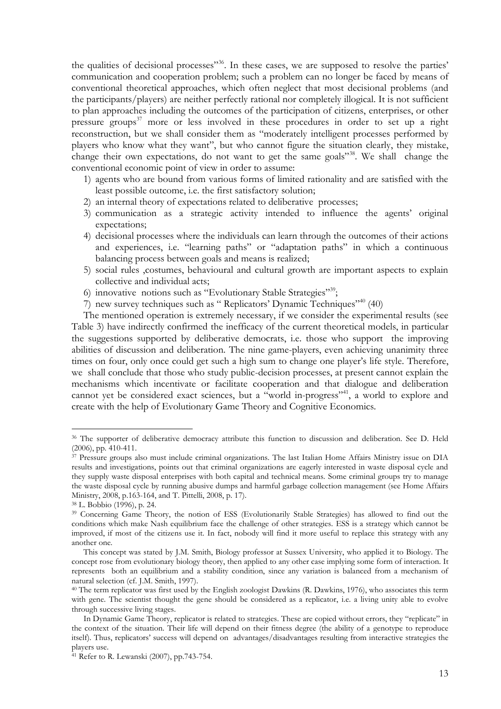the qualities of decisional processes<sup>356</sup>. In these cases, we are supposed to resolve the parties' communication and cooperation problem; such a problem can no longer be faced by means of conventional theoretical approaches, which often neglect that most decisional problems (and the participants/players) are neither perfectly rational nor completely illogical. It is not sufficient to plan approaches including the outcomes of the participation of citizens, enterprises, or other pressure groups<sup>37</sup> more or less involved in these procedures in order to set up a right reconstruction, but we shall consider them as "moderately intelligent processes performed by players who know what they want", but who cannot figure the situation clearly, they mistake, change their own expectations, do not want to get the same goals"<sup>38</sup>. We shall change the conventional economic point of view in order to assume:

- 1) agents who are bound from various forms of limited rationality and are satisfied with the least possible outcome, i.e. the first satisfactory solution;
- 2) an internal theory of expectations related to deliberative processes;
- 3) communication as a strategic activity intended to influence the agents' original expectations;
- 4) decisional processes where the individuals can learn through the outcomes of their actions and experiences, i.e. "learning paths" or "adaptation paths" in which a continuous balancing process between goals and means is realized;
- 5) social rules ,costumes, behavioural and cultural growth are important aspects to explain collective and individual acts;
- 6) innovative notions such as "Evolutionary Stable Strategies"39;
- 7) new survey techniques such as " Replicators' Dynamic Techniques"<sup>40</sup> (40)

The mentioned operation is extremely necessary, if we consider the experimental results (see Table 3) have indirectly confirmed the inefficacy of the current theoretical models, in particular the suggestions supported by deliberative democrats, i.e. those who support the improving abilities of discussion and deliberation. The nine game-players, even achieving unanimity three times on four, only once could get such a high sum to change one player's life style. Therefore, we shall conclude that those who study public-decision processes, at present cannot explain the mechanisms which incentivate or facilitate cooperation and that dialogue and deliberation cannot yet be considered exact sciences, but a "world in-progress"<sup>41</sup>, a world to explore and create with the help of Evolutionary Game Theory and Cognitive Economics.

<sup>&</sup>lt;sup>36</sup> The supporter of deliberative democracy attribute this function to discussion and deliberation. See D. Held (2006), pp. 410-411.

<sup>&</sup>lt;sup>37</sup> Pressure groups also must include criminal organizations. The last Italian Home Affairs Ministry issue on DIA results and investigations, points out that criminal organizations are eagerly interested in waste disposal cycle and they supply waste disposal enterprises with both capital and technical means. Some criminal groups try to manage the waste disposal cycle by running abusive dumps and harmful garbage collection management (see Home Affairs Ministry, 2008, p.163-164, and T. Pittelli, 2008, p. 17).

<sup>38</sup> L. Bobbio (1996), p. 24.

<sup>39</sup> Concerning Game Theory, the notion of ESS (Evolutionarily Stable Strategies) has allowed to find out the conditions which make Nash equilibrium face the challenge of other strategies. ESS is a strategy which cannot be improved, if most of the citizens use it. In fact, nobody will find it more useful to replace this strategy with any another one.

This concept was stated by J.M. Smith, Biology professor at Sussex University, who applied it to Biology. The concept rose from evolutionary biology theory, then applied to any other case implying some form of interaction. It represents both an equilibrium and a stability condition, since any variation is balanced from a mechanism of natural selection (cf. J.M. Smith, 1997).

<sup>40</sup> The term replicator was first used by the English zoologist Dawkins (R. Dawkins, 1976), who associates this term with gene. The scientist thought the gene should be considered as a replicator, i.e. a living unity able to evolve through successive living stages.

In Dynamic Game Theory, replicator is related to strategies. These are copied without errors, they "replicate" in the context of the situation. Their life will depend on their fitness degree (the ability of a genotype to reproduce itself). Thus, replicators' success will depend on advantages/disadvantages resulting from interactive strategies the players use.

<sup>41</sup> Refer to R. Lewanski (2007), pp.743-754.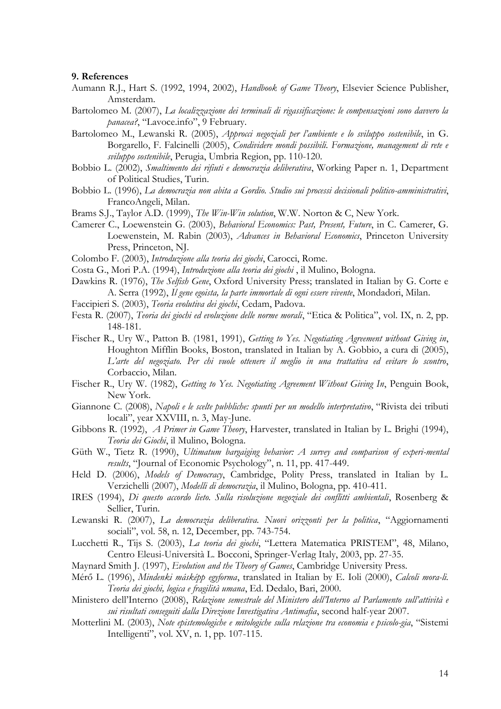#### **9. References**

- Aumann R.J., Hart S. (1992, 1994, 2002), *Handbook of Game Theory*, Elsevier Science Publisher, Amsterdam.
- Bartolomeo M. (2007), *La localizzazione dei terminali di rigassificazione: le compensazioni sono davvero la panacea?*, "Lavoce.info", 9 February.
- Bartolomeo M., Lewanski R. (2005), *Approcci negoziali per l'ambiente e lo sviluppo sostenibile*, in G. Borgarello, F. Falcinelli (2005), *Condividere mondi possibili. Formazione, management di rete e sviluppo sostenibile*, Perugia, Umbria Region, pp. 110-120.
- Bobbio L. (2002), *Smaltimento dei rifiuti e democrazia deliberativa*, Working Paper n. 1, Department of Political Studies, Turin.
- Bobbio L. (1996), *La democrazia non abita a Gordio. Studio sui processi decisionali politico-amministrativi*, FrancoAngeli, Milan.
- Brams S.J., Taylor A.D. (1999), *The Win-Win solution*, W.W. Norton & C, New York.
- Camerer C., Loewenstein G. (2003), *Behavioral Economics: Past, Present, Future*, in C. Camerer, G. Loewenstein, M. Rabin (2003), *Advances in Behavioral Economics*, Princeton University Press, Princeton, NJ.
- Colombo F. (2003), *Introduzione alla teoria dei giochi*, Carocci, Rome.
- Costa G., Mori P.A. (1994), *Introduzione alla teoria dei giochi* , il Mulino, Bologna.
- Dawkins R. (1976), *The Selfish Gene*, Oxford University Press; translated in Italian by G. Corte e A. Serra (1992), *Il gene egoista, la parte immortale di ogni essere vivente*, Mondadori, Milan.
- Faccipieri S. (2003), *Teoria evolutiva dei giochi*, Cedam, Padova.
- Festa R. (2007), *Teoria dei giochi ed evoluzione delle norme morali*, "Etica & Politica", vol. IX, n. 2, pp. 148-181.
- Fischer R., Ury W., Patton B. (1981, 1991), *Getting to Yes. Negotiating Agreement without Giving in*, Houghton Mifflin Books, Boston, translated in Italian by A. Gobbio, a cura di (2005), *L'arte del negoziato. Per chi vuole ottenere il meglio in una trattativa ed evitare lo scontro*, Corbaccio, Milan.
- Fischer R., Ury W. (1982), *Getting to Yes. Negotiating Agreement Without Giving In*, Penguin Book, New York.
- Giannone C. (2008), *Napoli e le scelte pubbliche: spunti per un modello interpretativo*, "Rivista dei tributi locali", year XXVIII, n. 3, May-June.
- Gibbons R. (1992), *A Primer in Game Theory*, Harvester, translated in Italian by L. Brighi (1994), *Teoria dei Giochi*, il Mulino, Bologna.
- Güth W., Tietz R. (1990), *Ultimatum bargaiging behavior: A survey and comparison of experi-mental results*, "Journal of Economic Psychology", n. 11, pp. 417-449.
- Held D. (2006), *Models of Democracy*, Cambridge, Polity Press, translated in Italian by L. Verzichelli (2007), *Modelli di democrazia*, il Mulino, Bologna, pp. 410-411.
- IRES (1994), *Di questo accordo lieto. Sulla risoluzione negoziale dei conflitti ambientali*, Rosenberg & Sellier, Turin.
- Lewanski R. (2007), *La democrazia deliberativa. Nuovi orizzonti per la politica*, "Aggiornamenti sociali", vol. 58, n. 12, December, pp. 743-754.
- Lucchetti R., Tijs S. (2003), *La teoria dei giochi*, "Lettera Matematica PRISTEM", 48, Milano, Centro Eleusi-Università L. Bocconi, Springer-Verlag Italy, 2003, pp. 27-35.
- Maynard Smith J. (1997), *Evolution and the Theory of Games*, Cambridge University Press.
- Mérő L. (1996), *Mindenki másképp egyforma*, translated in Italian by E. Ioli (2000), *Calcoli mora-li. Teoria dei giochi, logica e fragilità umana*, Ed. Dedalo, Bari, 2000.
- Ministero dell'Interno (2008), *Relazione semestrale del Ministero dell'Interno al Parlamento sull'attività e sui risultati conseguiti dalla Direzione Investigativa Antimafia*, second half-year 2007.
- Motterlini M. (2003), *Note epistemologiche e mitologiche sulla relazione tra economia e psicolo-gia*, "Sistemi Intelligenti", vol. XV, n. 1, pp. 107-115.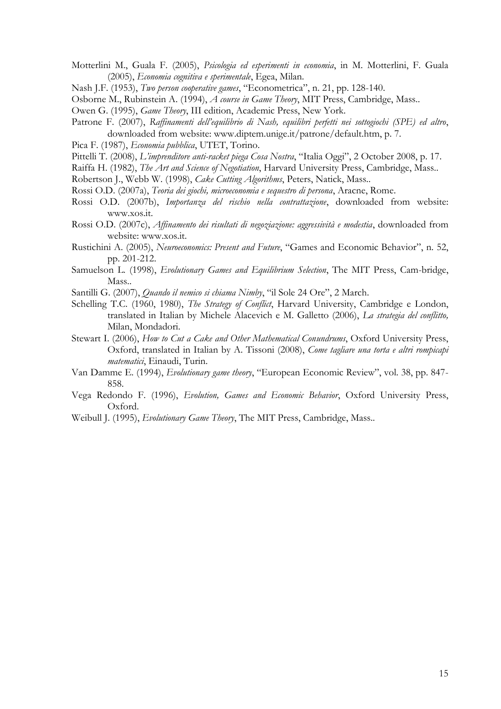- Motterlini M., Guala F. (2005), *Psicologia ed esperimenti in economia*, in M. Motterlini, F. Guala (2005), *Economia cognitiva e sperimentale*, Egea, Milan.
- Nash J.F. (1953), *Two person cooperative games*, "Econometrica", n. 21, pp. 128-140.
- Osborne M., Rubinstein A. (1994), *A course in Game Theory*, MIT Press, Cambridge, Mass..
- Owen G. (1995), *Game Theory*, III edition, Academic Press, New York.
- Patrone F. (2007), *Raffinamenti dell'equilibrio di Nash, equilibri perfetti nei sottogiochi (SPE) ed altro*, downloaded from website: www.diptem.unige.it/patrone/default.htm, p. 7.
- Pica F. (1987), *Economia pubblica*, UTET, Torino.
- Pittelli T. (2008), *L'imprenditore anti-racket piega Cosa Nostra*, "Italia Oggi", 2 October 2008, p. 17.
- Raiffa H. (1982), *The Art and Science of Negotiation*, Harvard University Press, Cambridge, Mass..
- Robertson J., Webb W. (1998), *Cake Cutting Algorithms*, Peters, Natick, Mass..
- Rossi O.D. (2007a), *Teoria dei giochi, microeconomia e sequestro di persona*, Aracne, Rome.
- Rossi O.D. (2007b), *Importanza del rischio nella contrattazione*, downloaded from website: www.xos.it.
- Rossi O.D. (2007c), *Affinamento dei risultati di negoziazione: aggressività e modestia*, downloaded from website: www.xos.it.
- Rustichini A. (2005), *Neuroeconomics: Present and Future*, "Games and Economic Behavior", n. 52, pp. 201-212.
- Samuelson L. (1998), *Evolutionary Games and Equilibrium Selection*, The MIT Press, Cam-bridge, Mass..
- Santilli G. (2007), *Quando il nemico si chiama Nimby*, "il Sole 24 Ore", 2 March.
- Schelling T.C. (1960, 1980), *The Strategy of Conflict*, Harvard University, Cambridge e London, translated in Italian by Michele Alacevich e M. Galletto (2006), *La strategia del conflitto,* Milan, Mondadori.
- Stewart I. (2006), *How to Cut a Cake and Other Mathematical Conundrums*, Oxford University Press, Oxford, translated in Italian by A. Tissoni (2008), *Come tagliare una torta e altri rompicapi matematici*, Einaudi, Turin.
- Van Damme E. (1994), *Evolutionary game theory*, "European Economic Review", vol. 38, pp. 847- 858.
- Vega Redondo F. (1996), *Evolution, Games and Economic Behavior*, Oxford University Press, Oxford.
- Weibull J. (1995), *Evolutionary Game Theory*, The MIT Press, Cambridge, Mass..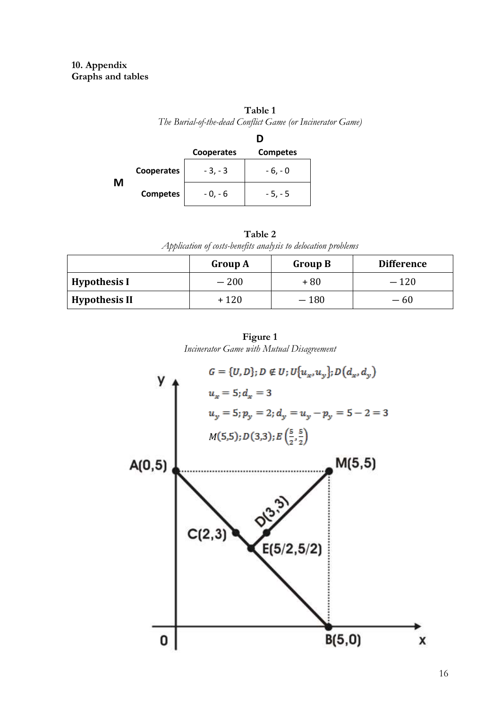# **Table 1**

*The Burial-of-the-dead Conflict Game (or Incinerator Game)* 

|   |                 | Cooperates | <b>Competes</b> |
|---|-----------------|------------|-----------------|
| М | Cooperates      | $-3, -3$   | $-6, -0$        |
|   | <b>Competes</b> | - 0, - 6   | $-5, -5$        |

| Table 2                                                       |
|---------------------------------------------------------------|
| Application of costs-benefits analysis to delocation problems |

|                      | <b>Group A</b> | <b>Group B</b> | <b>Difference</b> |
|----------------------|----------------|----------------|-------------------|
| <b>Hypothesis I</b>  | $-200$         | +80            | $-120$            |
| <b>Hypothesis II</b> | $+120$         | $-180$         | $-60$             |



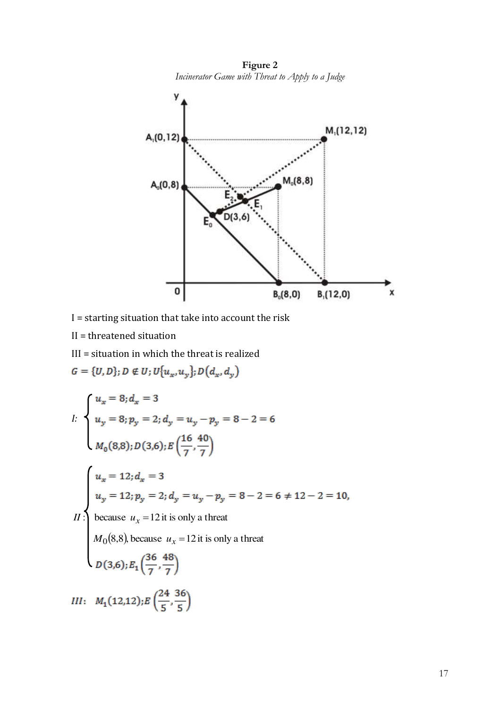

**Figure 2**  *Incinerator Game with Threat to Apply to a Judge* 

- I = starting situation that take into account the risk
- II = threatened situation
- III = situation in which the threat is realized

$$
G = \{U, D\}; D \notin U; U\{u_x, u_y\}; D(d_x, d_y)
$$
\n
$$
\int u_x = 8; d_x = 3
$$
\n
$$
u_y = 8; p_y = 2; d_y = u_y - p_y = 8 - 2 = 6
$$
\n
$$
M_0(8,8); D(3,6); E\left(\frac{16}{7}, \frac{40}{7}\right)
$$
\n
$$
\int u_x = 12; d_x = 3
$$
\n
$$
u_y = 12; p_y = 2; d_y = u_y - p_y = 8 - 2 = 6 \neq 12 - 2 = 10,
$$
\n
$$
H: \text{because } u_x = 12 \text{ it is only a threat}
$$
\n
$$
M_0(8,8), \text{ because } u_x = 12 \text{ it is only a threat}
$$
\n
$$
D(3,6); E_1\left(\frac{36}{7}, \frac{48}{7}\right)
$$
\n
$$
III: M_1(12,12); E\left(\frac{24}{5}, \frac{36}{5}\right)
$$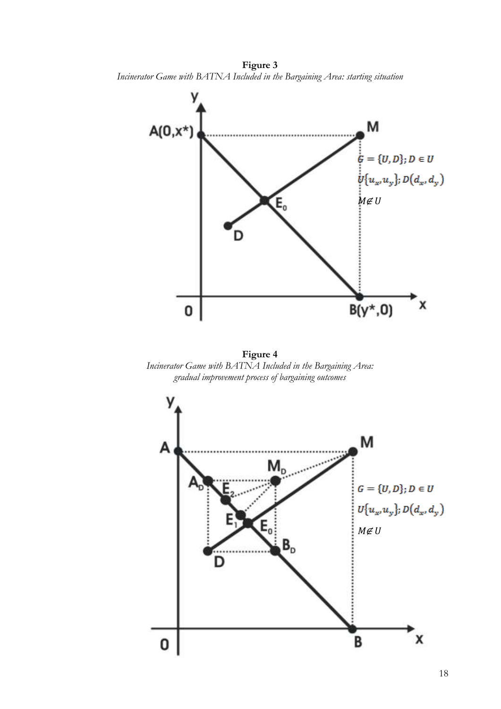**Figure 3**  *Incinerator Game with BATNA Included in the Bargaining Area: starting situation* 



**Figure 4**  *Incinerator Game with BATNA Included in the Bargaining Area: gradual improvement process of bargaining outcomes* 

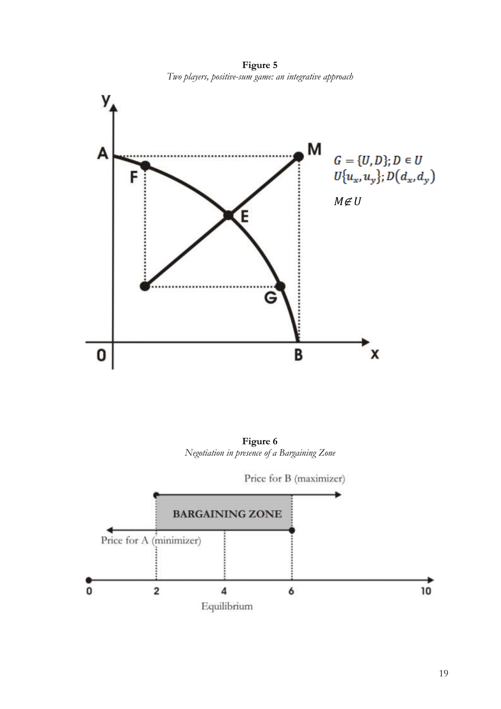**Figure 5**  *Two players, positive-sum game: an integrative approach* 



**Figure 6**  *Negotiation in presence of a Bargaining Zone* 

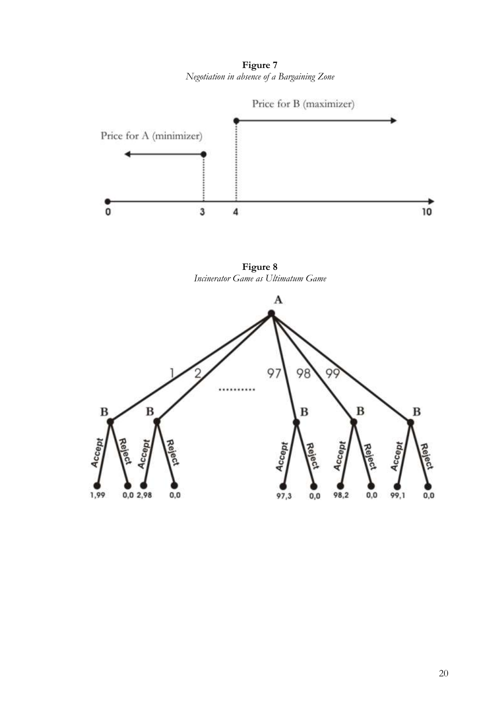**Figure 7**  *Negotiation in absence of a Bargaining Zone* 



**Figure 8**  *Incinerator Game as Ultimatum Game* 

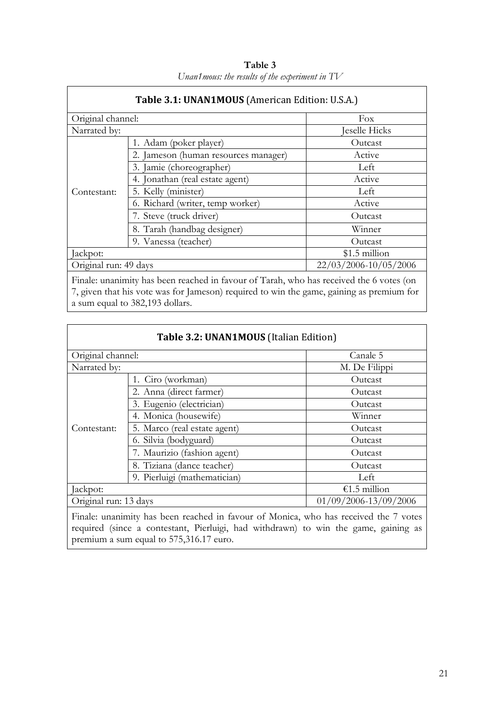| 1. Adam (poker player)                         | Fox<br>Jeselle Hicks |
|------------------------------------------------|----------------------|
|                                                |                      |
|                                                |                      |
|                                                | Outcast              |
| 2. Jameson (human resources manager)           | Active               |
| 3. Jamie (choreographer)                       | Left                 |
| 4. Jonathan (real estate agent)                | Active               |
| 5. Kelly (minister)                            | Left                 |
| 6. Richard (writer, temp worker)               | Active               |
| 7. Steve (truck driver)                        | Outcast              |
| 8. Tarah (handbag designer)                    | Winner               |
| 9. Vanessa (teacher)                           | Outcast              |
|                                                | $$1.5$ million       |
| 22/03/2006-10/05/2006<br>Original run: 49 days |                      |
|                                                |                      |

**Table 3**  *Unan1mous: the results of the experiment in TV* 

Finale: unanimity has been reached in favour of Tarah, who has received the 6 votes (on 7, given that his vote was for Jameson) required to win the game, gaining as premium for a sum equal to 382,193 dollars.

|                       | Table 3.2: UNAN1MOUS (Italian Edition) |                                                                                                                                |
|-----------------------|----------------------------------------|--------------------------------------------------------------------------------------------------------------------------------|
|                       | Canale 5<br>Original channel:          |                                                                                                                                |
| Narrated by:          |                                        | M. De Filippi                                                                                                                  |
|                       | 1. Ciro (workman)                      | Outcast                                                                                                                        |
|                       | 2. Anna (direct farmer)                | Outcast                                                                                                                        |
|                       | 3. Eugenio (electrician)               | Outcast                                                                                                                        |
|                       | 4. Monica (housewife)                  | Winner                                                                                                                         |
| Contestant:           | 5. Marco (real estate agent)           | Outcast                                                                                                                        |
|                       | 6. Silvia (bodyguard)                  | Outcast                                                                                                                        |
|                       | 7. Maurizio (fashion agent)            | Outcast                                                                                                                        |
|                       | 8. Tiziana (dance teacher)             | Outcast                                                                                                                        |
|                       | 9. Pierluigi (mathematician)           | Left                                                                                                                           |
| Jackpot:              |                                        | €1.5 million                                                                                                                   |
| Original run: 13 days |                                        | 01/09/2006-13/09/2006                                                                                                          |
|                       |                                        | $\sigma$ and $\sigma$ is a set of $\sigma$ is a set of $\sigma$ is a set of $\sigma$ is a set of $\sigma$ is a set of $\sigma$ |

Finale: unanimity has been reached in favour of Monica, who has received the 7 votes required (since a contestant, Pierluigi, had withdrawn) to win the game, gaining as premium a sum equal to 575,316.17 euro.